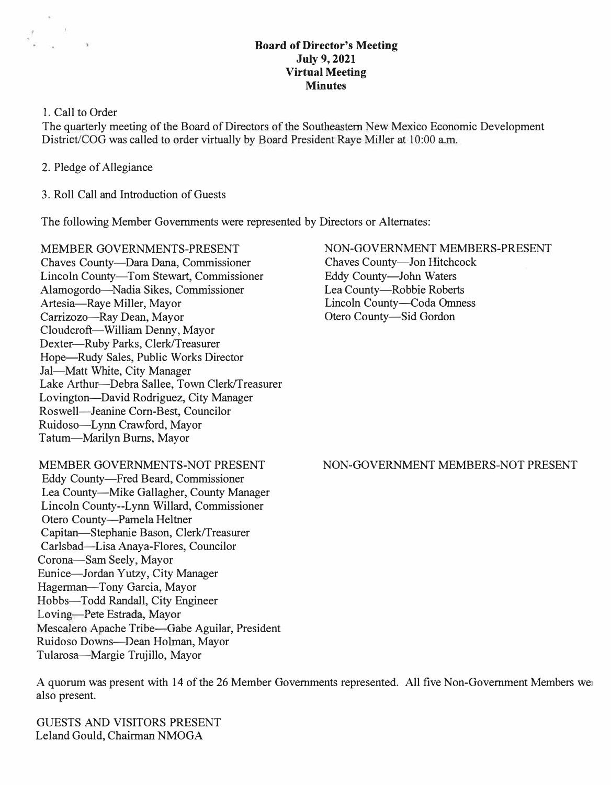### **Board of Director's Meeting July 9, 2021 Virtual Meeting Minutes**

# 1. Call to Order

 $\frac{1}{2}$   $\frac{1}{2}$ 

The quarterly meeting of the Board of Directors of the Southeastern New Mexico Economic Development District/COG was called to order virtually by Board President Raye Miller at 10:00 a.m.

- 2. Pledge of Allegiance
- 3. Roll Call and Introduction of Guests

The following Member Governments were represented by Directors or Alternates:

MEMBER GOVERNMENTS-PRESENT Chaves County-Dara Dana, Commissioner Lincoln County-Tom Stewart, Commissioner Alamogordo-Nadia Sikes, Commissioner Artesia-Raye Miller, Mayor Carrizozo-Ray Dean, Mayor Cloudcroft-William Denny, Mayor Dexter-Ruby Parks, Clerk/Treasurer Hope-Rudy Sales, Public Works Director Jal-Matt White, City Manager Lake Arthur-Debra Sallee, Town Clerk/Treasurer Lovington-David Rodriguez, City Manager Roswell-Jeanine Com-Best, Councilor Ruidoso-Lynn Crawford, Mayor Tatum-Marilyn Bums, Mayor

# MEMBER GOVERNMENTS-NOT PRESENT

Eddy County-Fred Beard, Commissioner Lea County-Mike Gallagher, County Manager Lincoln County--Lynn Willard, Commissioner Otero County-Pamela Heltner Capitan-Stephanie Bason, Clerk/Treasurer Carlsbad-Lisa Anaya-Flores, Councilor Corona-Sam Seely, Mayor Eunice-Jordan Yutzy, City Manager Hagerman-Tony Garcia, Mayor Hobbs-Todd Randall, City Engineer Loving-Pete Estrada, Mayor Mescalero Apache Tribe-Gabe Aguilar, President Ruidoso Downs-Dean Holman, Mayor Tularosa-Margie Trujillo, Mayor

#### NON-GOVERNMENT MEMBERS-PRESENT Chaves County-Jon Hitchcock

Eddy County-John Waters Lea County-Robbie Roberts Lincoln County-Coda Omness Otero County-Sid Gordon

# NON-GOVERNMENT MEMBERS-NOT PRESENT

A quorum was present with 14 of the 26 Member Governments represented. All five Non-Government Members wei also present.

GUESTS AND VISITORS PRESENT Leland Gould, Chairman NMOGA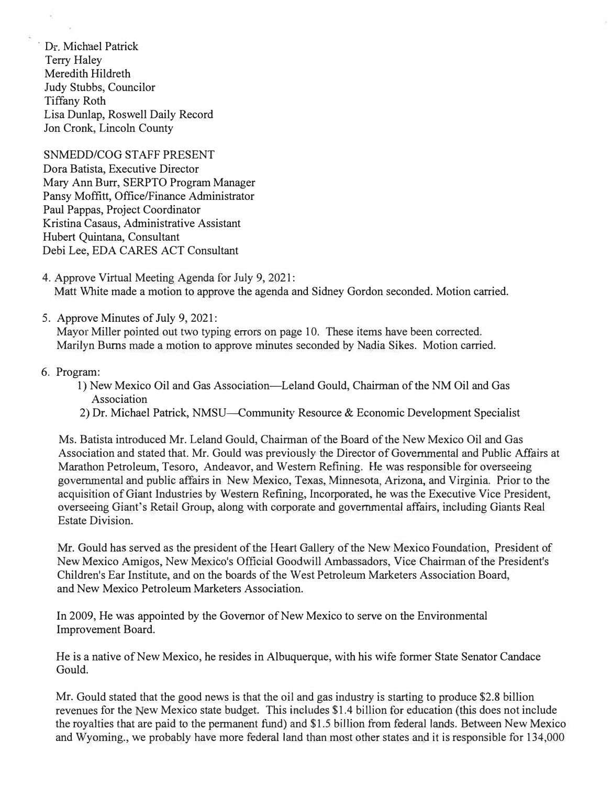$D_{\tilde{x}}$ . Michael Patrick Terry Haley Meredith Hildreth Judy Stubbs, Councilor Tiffany Roth Lisa Dunlap, Roswell Daily Record Jon Cronk, Lincoln County

SNMEDD/COG STAFF PRESENT Dora Batista, Executive Director Mary Ann Burr, SERPTO Program Manager Pansy Moffitt, Office/Finance Administrator Paul Pappas, Project Coordinator Kristina Casaus, Administrative Assistant Hubert Quintana, Consultant Debi Lee, EDA CARES ACT Consultant

- 4. Approve Virtual Meeting Agenda for July 9, 2021: Matt White made a motion to approve the agenda and Sidney Gordon seconded. Motion carried.
- 5. Approve Minutes of July 9, 2021:

Mayor Miller pointed out two typing errors on page 10. These items have been corrected. Marilyn Burns made a motion to approve minutes seconded by Nadia Sikes. Motion carried.

## 6. Program:

- 1) New Mexico Oil and Gas Association-Leland Gould, Chairman of the NM Oil and Gas Association
- 2) Dr. Michael Patrick, NMSU—Community Resource & Economic Development Specialist

Ms. Batista introduced Mr. Leland Gould, Chairman of the Board of the New Mexico Oil and Gas Association and stated that. Mr. Gould was previously the Director of Governmental and Public Affairs at Marathon Petroleum, Tesoro, Andeavor, and Western Refining. He was responsible for overseeing governmental and public affairs in New Mexico, Texas, Minnesota Arizona, and Virginia. Prior to the acquisition of Giant Industries by Western Refining, Incorporated, he was the Executive Vice President, overseeing Giant's Retail Group, along with corporate and governmental affairs, including Giants Real Estate Division.

Mr. Gould has served as the president of the Heart Gallery of the New Mexico Foundation, President of New Mexico Amigos, New Mexico's Official Goodwill Ambassadors, Vice Chairman of the President's Children's Ear Institute, and on the boards of the West Petroleum Marketers Association Board, and New Mexico Petroleum Marketers Association.

In 2009, He was appointed by the Governor of New Mexico to serve on the Environmental Improvement Board.

He is a native of New Mexico, he resides in Albuquerque, with his wife former State Senator Candace Gould.

Mr. Gould stated that the good news is that the oil and gas industry is starting to produce \$2.8 billion revenues for the New Mexico state budget. This includes \$1.4 billion for education (this does not include the royalties that are paid to the permanent fund) and \$1.5 billion from federal lands. Between New Mexico and Wyoming., we probably have more federal land than most other states and it is responsible for 134,000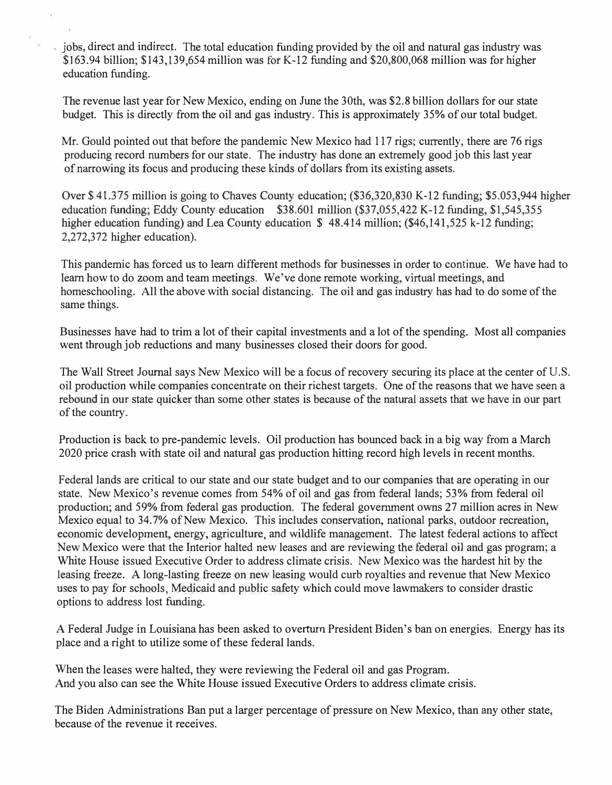iobs, direct and indirect. The total education funding provided by the oil and natural gas industry was \$163.94 billion; \$143,139 654 million was for K-12 funding and \$20,800,068 million was for higher education funding.

The revenue last year for New Mexico, ending on June the 30th, was \$2.8 billion dollars for our state budget. This is directly from the oil and gas industry. This is approximately 35% of our total budget.

Mr. Gould pointed out that before the pandemic New Mexico had 117 rigs; currently, there are 76 rigs producing record numbers for our state. The industry has done an extremely good job this last year of narrowing its focus and producing these kinds of dolJars from its existing assets.

Over\$ 41.375 million is going to Chaves County education; (\$36,320,830 K-12 funding; \$5.053,944 higher education funding; Eddy County education  $$38.601$  million  $$37,055,422$  K-12 funding, \$1,545,355 higher education funding) and Lea County education \$48.414 million; (\$46,141,525 k-12 funding; 2,272,372 higher education).

This pandemic has forced us to learn different methods for businesses in order to continue. We have had to learn how to do zoom and team meetings. We've done remote working, virtual meetings and homeschooling. All the above with social distancing. The oil and gas industry has had to do some of the same things.

Businesses have had to trim a lot of their capital investments and a lot of the spending. Most all companies went through job reductions and many businesses closed their doors for good.

The Wall Street Journal says New Mexico will be a focus of recovery securing its place at the center of U.S. oil production while companies concentrate on their richest targets. One of the reasons that we have seen a rebound in our state quicker than some other states is because of the natural assets that we bave in our part of the country.

Production is back to pre-pandemic levels. Oil production has bounced back in a big way from a March 2020 price crash with state oil and natural gas production hitting record high levels in recent months.

Federal lands are critical to our state and our state budget and to our companies that are operating in our state. New Mexico's revenue comes from 54% of oil and gas from federal lands; 53% from federal oil production; and 59% from federal gas production. The federal government owns 27 million acres in New Mexico equal to 34.7% of New Mexico. This includes conservation, national parks, outdoor recreation, economic development, energy, agriculture, and wildlife management. The latest federal actions to affect New Mexico were that the Interior halted new leases and are reviewing the federal oil and gas program; a White House issued Executive Order to address climate crisis. New Mexico was the hardest hit by the leasing freeze. A long-lasting freeze on new leasing would curb royalties and revenue that New Mexico uses to pay for schools Medicaid and public safety which could move lawmakers to consider drastic options to address lost funding.

A Federal Judge in Louisiana has been asked to overturn President Biden's ban on energies. Energy has its place and a right to utilize some of these federal lands.

When the leases were halted, they were reviewing the Federal oil and gas Program. And you also can see the White House issued Executive Orders to address climate crisis.

The Biden Administrations Ban put a larger percentage of pressure on New Mexico, than any other state, because of the revenue it receives.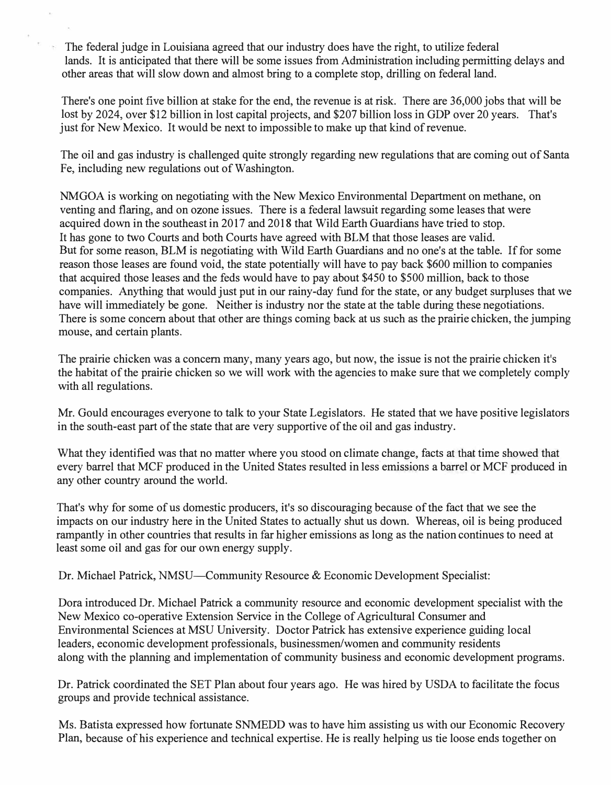The federal judge in Louisiana agreed that our industry does have the right, to utilize federal lands. It is anticipated that there will be some issues from Administration including permitting delays and other areas that will slow down and almost bring to a complete stop, drilling on federal land.

There's one point five billion at stake for the end, the revenue is at risk. There are 36,000 jobs that will be lost by 2024, over \$12 billion in lost capital projects, and \$207 billion loss in GDP over 20 years. That's just for New Mexico. It would be next to impossible to make up that kind of revenue.

The oil and gas industry is challenged quite strongly regarding new regulations that are coming out of Santa Fe, including new regulations out of Washington.

NM GOA is working on negotiating with the New Mexico Environmental Department on methane, on venting and flaring, and on ozone issues. There is a federal lawsuit regarding some leases that were acquired down in the southeast in 2017 and 2018 that Wild Earth Guardians have tried to stop. It has gone to two Courts and both Courts have agreed with BLM that those leases are valid. But for some reason, BLM is negotiating with Wild Earth Guardians and no one's at the table. If for some reason those leases are found void, the state potentially will have to pay back \$600 million to companies that acquired those leases and the feds would have to pay about \$450 to \$500 million, back to those companies. Anything that would just put in our rainy-day fund for the state, or any budget surpluses that we have will immediately be gone. Neither is industry nor the state at the table during these negotiations. There is some concern about that other are things coming back at us such as the prairie chicken, the jumping mouse, and certain plants.

The prairie chicken was a concern many, many years ago, but now, the issue is not the prairie chicken it's the habitat of the prairie chicken so we will work with the agencies to make sure that we completely comply with all regulations.

Mr. Gould encourages everyone to talk to your State Legislators. He stated that we have positive legislators in the south-east part of the state that are very supportive of the oil and gas industry.

What they identified was that no matter where you stood on climate change, facts at that time showed that every barrel that MCF produced in the United States resulted in less emissions a barrel or MCF produced in any other country around the world.

That's why for some of us domestic producers, it's so discouraging because of the fact that we see the impacts on our industry here in the United States to actually shut us down. Whereas, oil is being produced rampantly in other countries that results in far higher emissions as long as the nation continues to need at least some oil and gas for our own energy supply.

Dr. Michael Patrick, NMSU—Community Resource & Economic Development Specialist:

Dora introduced Dr. Michael Patrick a community resource and economic development specialist with the New Mexico co-operative Extension Service in the College of Agricultural Consumer and Environmental Sciences at MSU University. Doctor Patrick has extensive experience guiding local leaders, economic development professionals, businessmen/women and community residents along with the planning and implementation of community business and economic development programs.

Dr. Patrick coordinated the SET Plan about four years ago. He was hired by USDA to facilitate the focus groups and provide technical assistance.

Ms. Batista expressed how fortunate SNMEDD was to have him assisting us with our Economic Recovery Plan, because of his experience and technical expertise. He is really helping us tie loose ends together on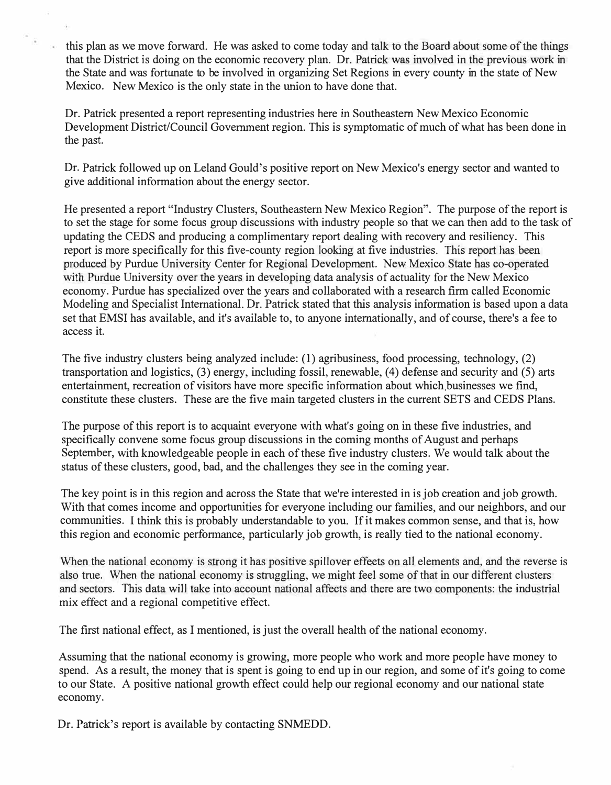this plan as we move forward. He was asked to come today and talk to the Board about some of the things that the District is doing on the economic recovery plan. Dr. Patrick was involved in the previous work in the State and was fortunate to be involved in organizing Set Regions in every county in the state of New Mexico. New Mexico is the only state in the union to have done that.

Dr. Patrick presented a report representing industries here in Southeastern New Mexico Economic Development District/Council Government region. This is symptomatic of much of what has been done in the past.

Dr. Patrick followed up on Leland Gould's positive report on New Mexico's energy sector and wanted to give additional information about the energy sector.

He presented a report "Industry Clusters, Southeastern New Mexico Region". The purpose of the report is to set the stage for some focus group discussions with industry people so that we can then add to the task of updating the CEDS and producing a complimentary report dealing with recovery and resiliency. This report is more specifically for this five-county region looking at five industries. This report has been produced by Purdue University Center for Regional Development. New Mexico State has co-operated with Purdue University over the years in developing data analysis of actuality for the New Mexico economy. Purdue has specialized over the years and collaborated with a research firm called Economic Modeling and Specialist International. Dr. Patrick stated that this analysis information is based upon a data set that EMSI has available, and it's available to, to anyone internationally, and of course, there's a fee to access it.

The five industry clusters being analyzed include: (1) agribusiness, food processing, technology, (2) transportation and logistics, (3) energy, including fossil, renewable, (4) defense and security and (5) arts entertainment, recreation of visitors have more specific information about which businesses we find, constitute these clusters. These are the five main targeted clusters in the current SETS and CEDS Plans.

The purpose of this report is to acquaint everyone with what's going on in these five industries, and specifically convene some focus group discussions in the coming months of August and perhaps September, with knowledgeable people in each of these five industry clusters. We would talk about the status of these clusters, good, bad, and the challenges they see in the coming year.

The key point is in this region and across the State that we're interested in is job creation and job growth. With that comes income and opportunities for everyone including our families, and our neighbors, and our communities. I think this is probably understandable to you. If it makes common sense, and that is, how this region and economic performance, particularly job growth, is really tied to the national economy.

When the national economy is strong it has positive spillover effects on all elements and, and the reverse is also true. When the national economy is struggling, we might feel some of that in our different clusters and sectors. This data will take into account national affects and there are two components: the industrial mix effect and a regional competitive effect.

The first national effect, as I mentioned, is just the overall health of the national economy.

Assuming that the national economy is growing, more people who work and more people have money to spend. As a result, the money that is spent is going to end up in our region, and some of it's going to come to our State. A positive national growth effect could help our regional economy and our national state economy.

Dr. Patrick's report is available by contacting SNMEDD.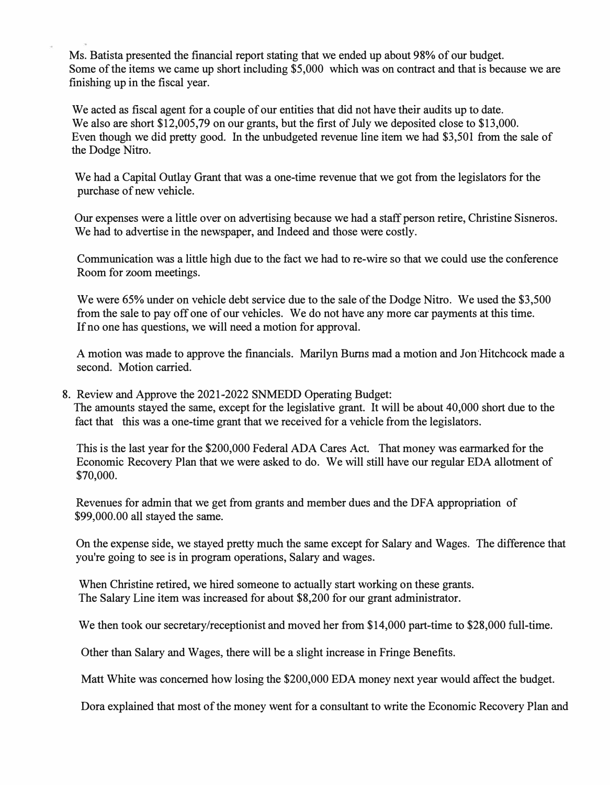Ms. Batista presented the financial report stating that we ended up about 98% of our budget. Some of the items we came up short including \$5,000 which was on contract and that is because we are finishing up in the fiscal year.

We acted as fiscal agent for a couple of our entities that did not have their audits up to date. We also are short \$12,005,79 on our grants, but the first of July we deposited close to \$13,000. Even though we did pretty good. In the unbudgeted revenue line item we had \$3,501 from the sale of the Dodge Nitro.

We had a Capital Outlay Grant that was a one-time revenue that we got from the legislators for the purchase of new vehicle.

Our expenses were a little over on advertising because we had a staff person retire, Christine Sisneros. We had to advertise in the newspaper, and Indeed and those were costly.

Communication was a little high due to the fact we had to re-wire so that we could use the conference Room for zoom meetings.

We were 65% under on vehicle debt service due to the sale of the Dodge Nitro. We used the \$3,500 from the sale to pay off one of our vehicles. We do not have any more car payments at this time. If no one has questions, we will need a motion for approval.

A motion was made to approve the financials. Marilyn Burns mad a motion and Jon Hitchcock made a second. Motion carried.

8. Review and Approve the 2021-2022 SNMEDD Operating Budget: The amounts stayed the same, except for the legislative grant. It will be about 40,000 short due to the fact that this was a one-time grant that we received for a vehicle from the legislators.

This is the last year for the \$200,000 Federal ADA Cares Act. That money was earmarked for the Economic Recovery Plan that we were asked to do. We will still have our regular EDA allotment of \$70,000.

Revenues for admin that we get from grants and member dues and the DFA appropriation of \$99,000.00 all stayed the same.

On the expense side, we stayed pretty much the same except for Salary and Wages. The difference that you're going to see is in program operations, Salary and wages.

When Christine retired, we hired someone to actually start working on these grants. The Salary Line item was increased for about \$8,200 for our grant administrator.

We then took our secretary/receptionist and moved her from \$14,000 part-time to \$28,000 full-time.

Other than Salary and Wages, there will be a slight increase in Fringe Benefits.

Matt White was concerned how losing the \$200,000 EDA money next year would affect the budget.

Dora explained that most of the money went for a consultant to write the Economic Recovery Plan and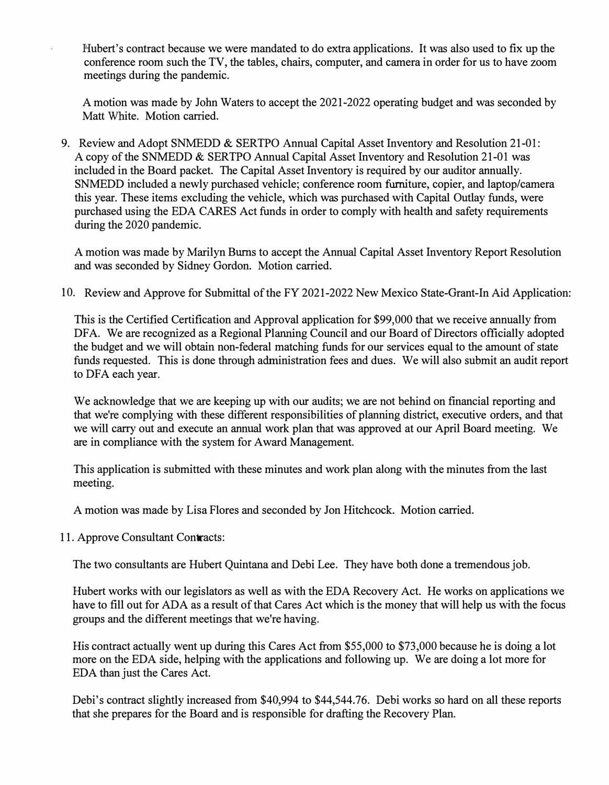Hubert's contract because we were mandated to do extra applications. It was also used to fix up the conference room such the TV, the tables, chairs, computer, and camera in order for us to have zoom meetings during the pandemic.

A motion was made by John Waters to accept the 2021-2022 operating budget and was seconded by Matt White. Motion carried.

9. Review and Adopt SNMEDD & SERTPO Annual Capital Asset Inventory and Resolution 21-01: A copy of the SNMEDD & SERTPO Annual Capital Asset Inventory and Resolution 21-01 was included in the Board packet. The Capital Asset Inventory is required by our auditor annually. SNMEDD included a newly purchased vehicle; conference room furniture, copier, and laptop/camera this year. These items excluding the vehicle, which was purchased with Capital Outlay funds, were purchased using the EDA CARES Act funds in order to comply with health and safety requirements during the 2020 pandemic.

A motion was made by Marilyn Burns to accept the Annual Capital Asset Inventory Report Resolution and was seconded by Sidney Gordon. Motion carried.

10. Review and Approve for Submittal of the FY 2021-2022 New Mexico State-Grant-In Aid Application:

This is the Certified Certification and Approval application for \$99,000 that we receive annually from DFA. We are recognized as a Regional Planning Council and our Board of Directors officially adopted the budget and we will obtain non-federal matching funds for our services equal to the amount of state funds requested. This is done through administration fees and dues. We will also submit an audit report to DFA each year.

We acknowledge that we are keeping up with our audits; we are not behind on financial reporting and that we're complying with these different responsibilities of planning district, executive orders, and that we will carry out and execute an annual work plan that was approved at our April Board meeting. We are in compliance with the system for Award Management.

This application is submitted with these minutes and work plan along with the minutes from the last meeting.

A motion was made by Lisa Flores and seconded by Jon Hitchcock. Motion carried.

11. Approve Consultant Contracts:

The two consultants are Hubert Quintana and Debi Lee. They have both done a tremendous job.

Hubert works with our legislators as well as with the EDA Recovery Act. He works on applications we have to fill out for ADA as a result of that Cares Act which is the money that will help us with the focus groups and the different meetings that we're having.

His contract actually went up during this Cares Act from \$55,000 to \$73,000 because he is doing a lot more on the EDA side, helping with the applications and following up. We are doing a lot more for EDA than just the Cares Act.

Debi's contract slightly increased from \$40,994 to \$44,544.76. Debi works so hard on all these reports that she prepares for the Board and is responsible for drafting the Recovery Plan.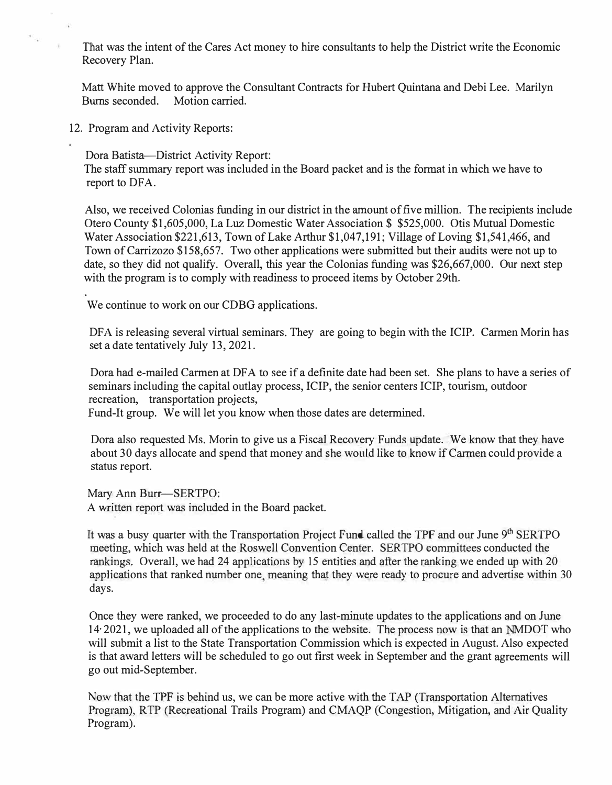That was the intent of the Cares Act money to hire consultants to help the District write the Economic Recovery Plan.

Matt White moved to approve the Consultant Contracts for Hubert Quintana and Debi Lee. Marilyn Burns seconded. Motion carried.

12. Program and Activity Reports:

 $\sim$ 

Dora Batista-District Activity Report:

The staff summary report was included in the Board packet and is the format in which we have to report to DFA.

Also, we received Colonias funding in our district in the amount of five million. The recipients include Otero County \$1,605,000, La Luz Domestic Water Association \$ \$525,000. Otis Mutual Domestic Water Association \$221,613, Town of Lake Arthur \$1,047,191; Village of Loving \$1,541,466, and Town of Carrizozo \$158,657. Two other applications were submitted but their audits were not up to date, so they did not qualify. Overall, this year the Colonias funding was \$26,667,000. Our next step with the program is to comply with readiness to proceed items by October 29th.

We continue to work on our CDBG applications.

DFA is releasing several virtual seminars. They are going to begin with the ICIP. Carmen Morin has set a date tentatively July 13, 2021.

Dora had e-mailed Carmen at DFA to see if a definite date had been set. She plans to have a series of seminars including the capital outlay process, ICIP, the senior centers ICIP, tourism, outdoor recreation, transportation projects,

Fund-It group. We will let you know when those dates are determined.

Dora also requested Ms. Morin to give us a Fiscal Recovery Funds update. We know that they have about 30 days allocate and spend that money and she would like to know if Carmen could provide a status report.

Mary Ann Burr-SERTPO: A written report was included in the Board packet.

It was a busy quarter with the Transportation Project Fund called the TPF and our June 9<sup>th</sup> SERTPO meeting, which was held at the Roswell Convention Center. SER TPO committees conducted the rankings. Overall, we had 24 applications by 15 entities and after the ranking we ended up with 20 applications that ranked number one, meaning that they were ready to procure and advertise within 30 days.

Once they were ranked, we proceeded to do any last-minute updates to the applications and on June 14, 2021, we uploaded all of the applications to the website. The process now is that an MDOT who will submit a list to the State Transportation Commission which is expected in August. Also expected is that award letters will be scheduled to go out frrst week in September and the grant agreements will go out mid-September.

Now that the TPF is behind us, we can be more active with the TAP (Transportation Alternatives Program), RTP (Recreational Trails Program) and CMAQP (Congestion, Mitigation, and Air Quality Program).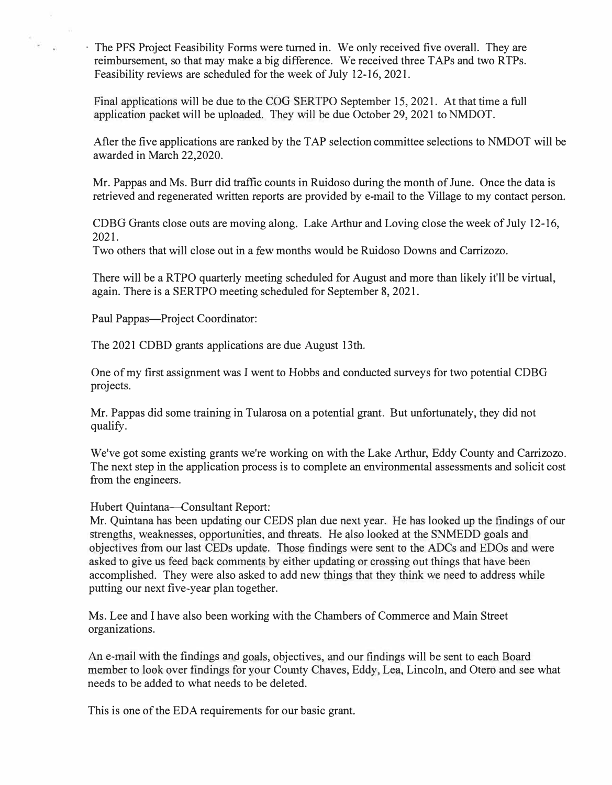- The PFS Project Feasibility Forms were turned in. We only received five overall. They are reimbursement, so that may make a big difference. We received three TAPs and two RTPs. Feasibility reviews are scheduled for the week of July 12-16, 2021.

Final applications will be due to the COG SERTPO September 15, 2021. At that time a full application packet will be uploaded. They will be due October 29, 2021 to NMDOT.

After the five applications are ranked by the TAP selection committee selections to NMDOT will be awarded in March 22,2020.

Mr. Pappas and Ms. Burr did traffic counts in Ruidoso during the month of June. Once the data is retrieved and regenerated written reports are provided by e-mail to the Village to my contact person.

CDBG Grants close outs are moving along. Lake Arthur and Loving close the week of July 12-16, 2021.

Two others that will close out in a few months would be Ruidoso Downs and Carrizozo.

There will be a RTPO quarterly meeting scheduled for August and more than likely it'll be virtual, again. There is a SERTPO meeting scheduled for September 8, 2021.

Paul Pappas-Project Coordinator:

The 2021 CDBD grants applications are due August 13th.

One of my first assignment was I went to Hobbs and conducted surveys for two potential CDBG projects.

Mr. Pappas did some training in Tularosa on a potential grant. But unfortunately, they did not qualify.

We've got some existing grants we're working on with the Lake Arthur, Eddy County and Carrizozo. The next step in the application process is to complete an environmental assessments and solicit cost from the engineers.

Hubert Quintana-Consultant Report:

Mr. Quintana has been updating our CEDS plan due next year. He has looked *up* the findings of our strengths, weaknesses, opportunities, and threats. He also looked at the SNMEDD goals and objectives from our last CEDs update. Those findings were sent to the ADCs and EDOs and were asked to give us feed back comments by either updating or crossing out things that have been accomplished. They were also asked to add new things that they think we need to address while putting our next five-year plan together.

Ms. Lee and I have also been working with the Chambers of Commerce and Main Street organizations.

An e-mail with the findings and goals, objectives, and our findings will be sent to each Board member to look over findings for your County Chaves, Eddy, Lea. Lincoln, and Otero and see what needs to be added to what needs to be deleted.

This is one of the EDA requirements for our basic grant.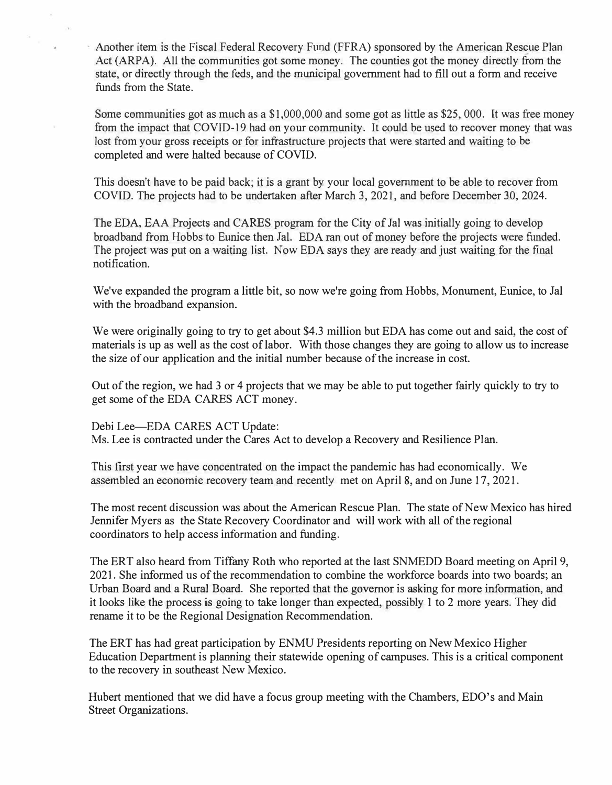Another item is the Fiscal Federal Recovery Fund (FFRA) sponsored by the American Rescue Plan Act (ARPA). All the communities got some money. The counties got the money directly from the state, or directly through the feds, and the municipal government had to fill out a form and receive funds from the State.

Some communities got as much as a \$1,000,000 and some got as little as \$25,000. It was free money from the impact that COVID-19 had on your community. It could be used to recover money that was lost from your gross receipts or for infrastructure projects that were started and waiting to be completed and were halted because of COVID.

This doesn't have to be paid back; it is a grant by your local government to be able to recover from COVID. The projects had to be undertaken after March 3, 2021, and before December 30, 2024.

The EDA, *BAA* Projects and CARES program for the City of Jal was initially going to develop broadband from Hobbs to Eunice then Jal. EDA ran out of money before the projects were funded. The project was put on a waiting list. Now EDA says they are ready and just waiting for the final notification.

We've expanded the program a little bit, so now we're going from Hobbs, Monument, Eunice, to Jal with the broadband expansion.

We were originally going to try to get about \$4.3 million but EDA has come out and said, the cost of materials is up as well as the cost of labor. With those changes they are going to allow us to increase the size of our application and the initial number because of the increase in cost.

Out of the region, we had 3 or 4 projects that we may be able to put together fairly quickly to try to get some of the EDA CARES ACT money.

Debi Lee-EDA CARES ACT Update: Ms. Lee is contracted under the Cares Act to develop a Recovery and Resilience Plan.

This first year we have concentrated on the impact the pandemic has had economically. We assembled an economic recovery team and recently met on April 8, and on June 17, 2021.

The most recent discussion was about the American Rescue Plan. The state of New Mexico has hired Jennifer Myers as the State Recovery Coordinator and will work with all of the regional coordinators to help access information and funding.

The ERT also heard from Tiffany Roth who reported at the last SNMEDD Board meeting on April 9, 2021. She informed us of the recommendation to combine the workforce boards into two boards; an Urban Board and a Rural Board. She reported that the governor is asking for more information, and it looks like the process is going to take longer than expected, possibly 1 to 2 more years. They did rename it to be the Regional Designation Recommendation.

The ERT has had great participation by ENMU Presidents reporting on New Mexico Higher Education Department is planning their statewide opening of campuses. This is a critical component to the recovery in southeast New Mexico.

Hubert mentioned that we did have a focus group meeting with the Chambers, EDO's and Main Street Organizations.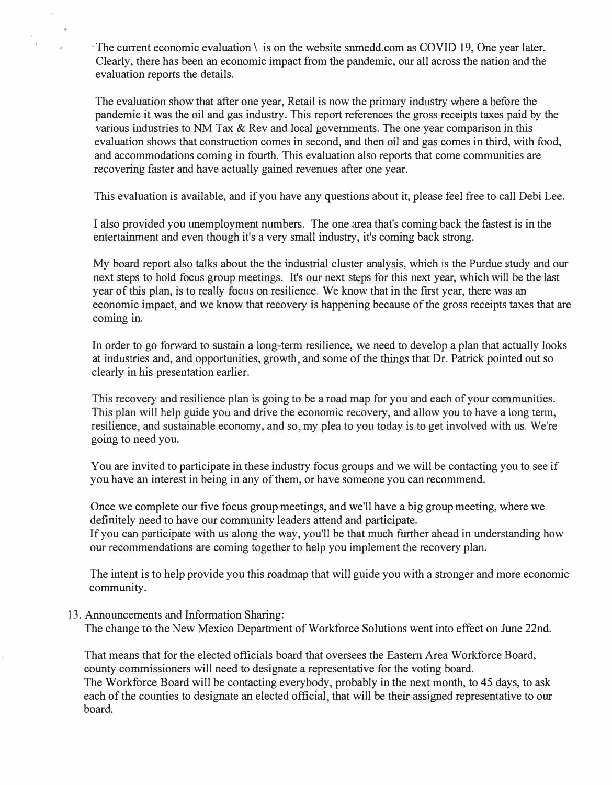$\cdot$  The current economic evaluation  $\setminus$  is on the website snmedd.com as COVID 19, One year later. Clearly, there has been an economic impact from the pandemic, our all across the nation and the evaluation reports the details.

The evaluation show that after one year, Retail is now the primary industry where a before the pandemic it was the oil and gas industry. This report references the gross receipts taxes paid by the various industries to NM Tax & Rev and local governments. The one year comparison in this evaluation shows that construction comes in second, and then oil and gas comes in third, with food, and accommodations coming in fourth. This evaluation also reports that come communities are recovering faster and have actually gained revenues after one year.

This evaluation is available, and if you have any questions about it, please feel free to call Debi Lee.

I also provided you unemployment numbers. The one area that's coming back the fastest is in the entertainment and even though it's a very small industry, it's coming back strong.

My board report also talks about the the industrial cluster analysis, which is the Purdue study and our next steps to hold focus group meetings. It's our next steps for this next year, which will be the last year of this plan, is to really focus on resilience. We know that in the first year, there was an economic impact, and we know that recovery is happening because of the gross receipts taxes that are coming in.

In order to go forward to sustain a long-term resilience, we need to develop a plan that actually looks at industries and, and opportunities, growth and some of the things that Dr. Patrick pointed out so clearly in his presentation earlier.

This recovery and resilience plan is going to be a road map for you and each of your communities. This plan will help guide you and drive the economic recovery, and allow you to have a long term, resilience, and sustainable economy, and so, my plea to you today is to get involved with us. We're going to need you.

You are invited to participate in these industry focus groups and we will be contacting you to see if you have an interest in being in any of them, or have someone you can recommend.

Once we complete our five focus group meetings, and we'll have a big group meeting, where we definitely need to have our community leaders attend and participate.

If you can participate with us along the way, you'll be that much further ahead in understanding how our recommendations are coming together to help you implement the recovery plan.

The intent is to help provide you this roadmap that will guide you with a stronger and more economic community.

13. Announcements and Information Sharing:

The change to the New Mexico Department of Workforce Solutions went into effect on June 22nd.

That means that for the elected officials board that oversees the Eastern Area Workforce Board, county commissioners will need to designate a representative for the voting board. The Workforce Board will be contacting everybody, probably in the next month, to 45 days, to ask each of the counties to designate an elected official, that will be their assigned representative to our

board.

 $\omega$  .